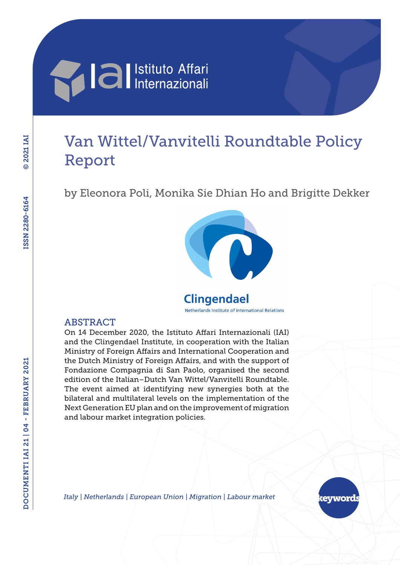# **Alla I**lstituto Affari

## Van Wittel/Vanvitelli Roundtable Policy Report

by Eleonora Poli, Monika Sie Dhian Ho and Brigitte Dekker



## **Clingendael**

Netherlands Institute of International Relations

#### **ABSTRACT**

On 14 December 2020, the Istituto Affari Internazionali (IAI) and the Clingendael Institute, in cooperation with the Italian Ministry of Foreign Affairs and International Cooperation and the Dutch Ministry of Foreign Affairs, and with the support of Fondazione Compagnia di San Paolo, organised the second edition of the Italian–Dutch Van Wittel/Vanvitelli Roundtable. The event aimed at identifying new synergies both at the bilateral and multilateral levels on the implementation of the Next Generation EU plan and on the improvement of migration and labour market integration policies.

*Italy | Netherlands | European Union | Migration | Labour market*

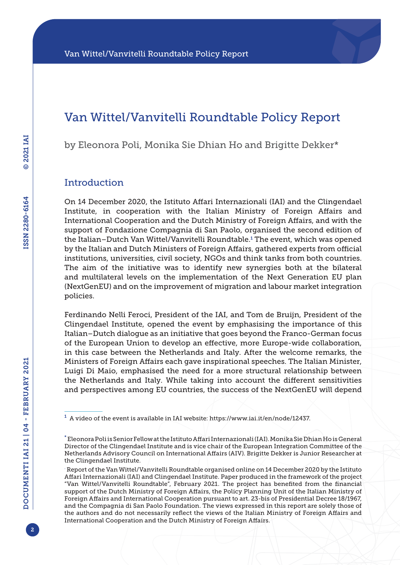### Van Wittel/Vanvitelli Roundtable Policy Report

by Eleonora Poli, Monika Sie Dhian Ho and Brigitte Dekker\*

#### **Introduction**

On 14 December 2020, the Istituto Affari Internazionali (IAI) and the Clingendael Institute, in cooperation with the Italian Ministry of Foreign Affairs and International Cooperation and the Dutch Ministry of Foreign Affairs, and with the support of Fondazione Compagnia di San Paolo, organised the second edition of the Italian–Dutch Van Wittel/Vanvitelli Roundtable.<sup>1</sup> The event, which was opened by the Italian and Dutch Ministers of Foreign Affairs, gathered experts from official institutions, universities, civil society, NGOs and think tanks from both countries. The aim of the initiative was to identify new synergies both at the bilateral and multilateral levels on the implementation of the Next Generation EU plan (NextGenEU) and on the improvement of migration and labour market integration policies.

Ferdinando Nelli Feroci, President of the IAI, and Tom de Bruijn, President of the Clingendael Institute, opened the event by emphasising the importance of this Italian–Dutch dialogue as an initiative that goes beyond the Franco-German focus of the European Union to develop an effective, more Europe-wide collaboration, in this case between the Netherlands and Italy. After the welcome remarks, the Ministers of Foreign Affairs each gave inspirational speeches. The Italian Minister, Luigi Di Maio, emphasised the need for a more structural relationship between the Netherlands and Italy. While taking into account the different sensitivities and perspectives among EU countries, the success of the NextGenEU will depend

 $1$  A video of the event is available in IAI website: [https://www.iai.it/en/node/12437.](https://www.iai.it/en/node/12437)

<sup>\*</sup> Eleonora Poli is Senior Fellow at the Istituto Affari Internazionali (IAI). Monika Sie Dhian Ho is General Director of the Clingendael Institute and is vice chair of the European Integration Committee of the Netherlands Advisory Council on International Affairs (AIV). Brigitte Dekker is Junior Researcher at the Clingendael Institute.

<sup>.</sup> Report of the Van Wittel/Vanvitelli Roundtable organised online on 14 December 2020 by the Istituto Affari Internazionali (IAI) and Clingendael Institute. Paper produced in the framework of the project "Van Wittel/Vanvitelli Roundtable", February 2021. The project has benefited from the financial support of the Dutch Ministry of Foreign Affairs, the Policy Planning Unit of the Italian Ministry of Foreign Affairs and International Cooperation pursuant to art. 23-bis of Presidential Decree 18/1967, and the Compagnia di San Paolo Foundation. The views expressed in this report are solely those of the authors and do not necessarily reflect the views of the Italian Ministry of Foreign Affairs and International Cooperation and the Dutch Ministry of Foreign Affairs.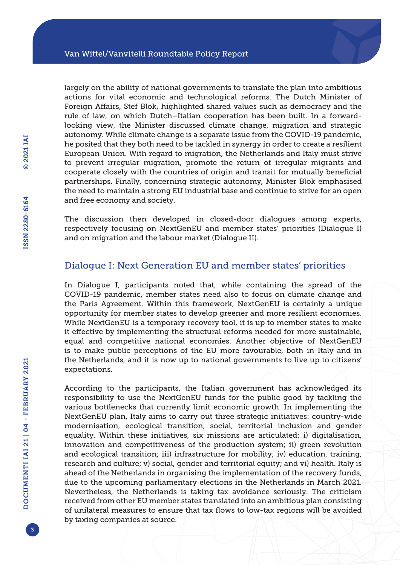largely on the ability of national governments to translate the plan into ambitious actions for vital economic and technological reforms. The Dutch Minister of Foreign Affairs, Stef Blok, highlighted shared values such as democracy and the rule of law, on which Dutch–Italian cooperation has been built. In a forwardlooking view, the Minister discussed climate change, migration and strategic autonomy. While climate change is a separate issue from the COVID-19 pandemic, he posited that they both need to be tackled in synergy in order to create a resilient European Union. With regard to migration, the Netherlands and Italy must strive to prevent irregular migration, promote the return of irregular migrants and cooperate closely with the countries of origin and transit for mutually beneficial partnerships. Finally, concerning strategic autonomy, Minister Blok emphasised the need to maintain a strong EU industrial base and continue to strive for an open and free economy and society.

The discussion then developed in closed-door dialogues among experts, respectively focusing on NextGenEU and member states' priorities (Dialogue I) and on migration and the labour market (Dialogue II).

#### Dialogue I: Next Generation EU and member states' priorities

In Dialogue I, participants noted that, while containing the spread of the COVID-19 pandemic, member states need also to focus on climate change and the Paris Agreement. Within this framework, NextGenEU is certainly a unique opportunity for member states to develop greener and more resilient economies. While NextGenEU is a temporary recovery tool, it is up to member states to make it effective by implementing the structural reforms needed for more sustainable, equal and competitive national economies. Another objective of NextGenEU is to make public perceptions of the EU more favourable, both in Italy and in the Netherlands, and it is now up to national governments to live up to citizens' expectations.

According to the participants, the Italian government has acknowledged its responsibility to use the NextGenEU funds for the public good by tackling the various bottlenecks that currently limit economic growth. In implementing the NextGenEU plan, Italy aims to carry out three strategic initiatives: country-wide modernisation, ecological transition, social, territorial inclusion and gender equality. Within these initiatives, six missions are articulated: i) digitalisation, innovation and competitiveness of the production system; ii) green revolution and ecological transition; iii) infrastructure for mobility; iv) education, training, research and culture; v) social, gender and territorial equity; and vi) health. Italy is ahead of the Netherlands in organising the implementation of the recovery funds, due to the upcoming parliamentary elections in the Netherlands in March 2021. Nevertheless, the Netherlands is taking tax avoidance seriously. The criticism received from other EU member states translated into an ambitious plan consisting of unilateral measures to ensure that tax flows to low-tax regions will be avoided by taxing companies at source.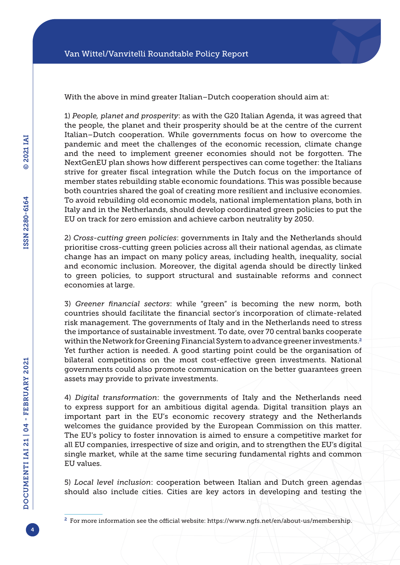With the above in mind greater Italian–Dutch cooperation should aim at:

1) *People, planet and prosperity*: as with the G20 Italian Agenda, it was agreed that the people, the planet and their prosperity should be at the centre of the current Italian–Dutch cooperation. While governments focus on how to overcome the pandemic and meet the challenges of the economic recession, climate change and the need to implement greener economies should not be forgotten. The NextGenEU plan shows how different perspectives can come together: the Italians strive for greater fiscal integration while the Dutch focus on the importance of member states rebuilding stable economic foundations. This was possible because both countries shared the goal of creating more resilient and inclusive economies. To avoid rebuilding old economic models, national implementation plans, both in Italy and in the Netherlands, should develop coordinated green policies to put the EU on track for zero emission and achieve carbon neutrality by 2050.

2) *Cross-cutting green policies*: governments in Italy and the Netherlands should prioritise cross-cutting green policies across all their national agendas, as climate change has an impact on many policy areas, including health, inequality, social and economic inclusion. Moreover, the digital agenda should be directly linked to green policies, to support structural and sustainable reforms and connect economies at large.

3) *Greener financial sectors*: while "green" is becoming the new norm, both countries should facilitate the financial sector's incorporation of climate-related risk management. The governments of Italy and in the Netherlands need to stress the importance of sustainable investment. To date, over 70 central banks cooperate within the Network for Greening Financial System to advance greener investments.<sup>2</sup> Yet further action is needed. A good starting point could be the organisation of bilateral competitions on the most cost-effective green investments. National governments could also promote communication on the better guarantees green assets may provide to private investments.

4) *Digital transformation*: the governments of Italy and the Netherlands need to express support for an ambitious digital agenda. Digital transition plays an important part in the EU's economic recovery strategy and the Netherlands welcomes the guidance provided by the European Commission on this matter. The EU's policy to foster innovation is aimed to ensure a competitive market for all EU companies, irrespective of size and origin, and to strengthen the EU's digital single market, while at the same time securing fundamental rights and common EU values.

5) *Local level inclusion*: cooperation between Italian and Dutch green agendas should also include cities. Cities are key actors in developing and testing the

<sup>2</sup> For more information see the official website: [https://www.ngfs.net/en/about-us/membership.](https://www.ngfs.net/en/about-us/membership)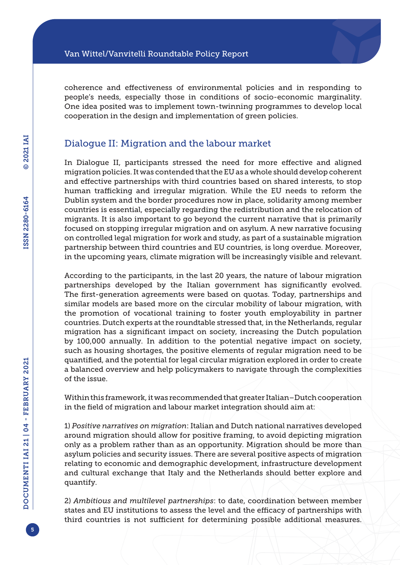coherence and effectiveness of environmental policies and in responding to people's needs, especially those in conditions of socio-economic marginality. One idea posited was to implement town-twinning programmes to develop local cooperation in the design and implementation of green policies.

#### Dialogue II: Migration and the labour market

In Dialogue II, participants stressed the need for more effective and aligned migration policies. It was contended that the EU as a whole should develop coherent and effective partnerships with third countries based on shared interests, to stop human trafficking and irregular migration. While the EU needs to reform the Dublin system and the border procedures now in place, solidarity among member countries is essential, especially regarding the redistribution and the relocation of migrants. It is also important to go beyond the current narrative that is primarily focused on stopping irregular migration and on asylum. A new narrative focusing on controlled legal migration for work and study, as part of a sustainable migration partnership between third countries and EU countries, is long overdue. Moreover, in the upcoming years, climate migration will be increasingly visible and relevant.

According to the participants, in the last 20 years, the nature of labour migration partnerships developed by the Italian government has significantly evolved. The first-generation agreements were based on quotas. Today, partnerships and similar models are based more on the circular mobility of labour migration, with the promotion of vocational training to foster youth employability in partner countries. Dutch experts at the roundtable stressed that, in the Netherlands, regular migration has a significant impact on society, increasing the Dutch population by 100,000 annually. In addition to the potential negative impact on society, such as housing shortages, the positive elements of regular migration need to be quantified, and the potential for legal circular migration explored in order to create a balanced overview and help policymakers to navigate through the complexities of the issue.

Within this framework, it was recommended that greater Italian–Dutch cooperation in the field of migration and labour market integration should aim at:

1) *Positive narratives on migration*: Italian and Dutch national narratives developed around migration should allow for positive framing, to avoid depicting migration only as a problem rather than as an opportunity. Migration should be more than asylum policies and security issues. There are several positive aspects of migration relating to economic and demographic development, infrastructure development and cultural exchange that Italy and the Netherlands should better explore and quantify.

2) *Ambitious and multilevel partnerships*: to date, coordination between member states and EU institutions to assess the level and the efficacy of partnerships with third countries is not sufficient for determining possible additional measures.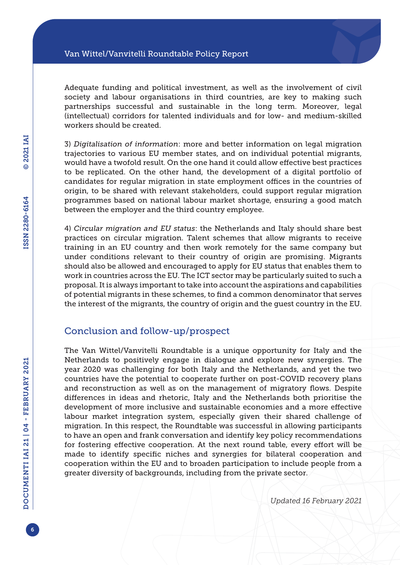Adequate funding and political investment, as well as the involvement of civil society and labour organisations in third countries, are key to making such partnerships successful and sustainable in the long term. Moreover, legal (intellectual) corridors for talented individuals and for low- and medium-skilled workers should be created.

3) *Digitalisation of information*: more and better information on legal migration trajectories to various EU member states, and on individual potential migrants, would have a twofold result. On the one hand it could allow effective best practices to be replicated. On the other hand, the development of a digital portfolio of candidates for regular migration in state employment offices in the countries of origin, to be shared with relevant stakeholders, could support regular migration programmes based on national labour market shortage, ensuring a good match between the employer and the third country employee.

4) *Circular migration and EU status*: the Netherlands and Italy should share best practices on circular migration. Talent schemes that allow migrants to receive training in an EU country and then work remotely for the same company but under conditions relevant to their country of origin are promising. Migrants should also be allowed and encouraged to apply for EU status that enables them to work in countries across the EU. The ICT sector may be particularly suited to such a proposal. It is always important to take into account the aspirations and capabilities of potential migrants in these schemes, to find a common denominator that serves the interest of the migrants, the country of origin and the guest country in the EU.

#### Conclusion and follow-up/prospect

The Van Wittel/Vanvitelli Roundtable is a unique opportunity for Italy and the Netherlands to positively engage in dialogue and explore new synergies. The year 2020 was challenging for both Italy and the Netherlands, and yet the two countries have the potential to cooperate further on post-COVID recovery plans and reconstruction as well as on the management of migratory flows. Despite differences in ideas and rhetoric, Italy and the Netherlands both prioritise the development of more inclusive and sustainable economies and a more effective labour market integration system, especially given their shared challenge of migration. In this respect, the Roundtable was successful in allowing participants to have an open and frank conversation and identify key policy recommendations for fostering effective cooperation. At the next round table, every effort will be made to identify specific niches and synergies for bilateral cooperation and cooperation within the EU and to broaden participation to include people from a greater diversity of backgrounds, including from the private sector.

*Updated 16 February 2021*